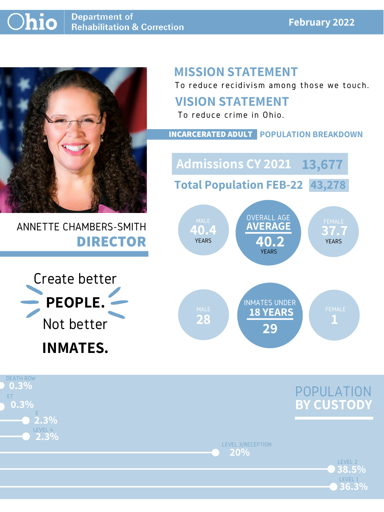### **February 2022**



## ANNETTE CHAMBERS-SMITH **DIRECTOR**

## **MISSION STATEMENT**

To reduce recidivism among those we touch.





### **VISION STATEMENT**

To reduce crime in Ohio.



#### **INCARCERATED ADULT POPULATION BREAKDOWN**

**Total Population FEB-22 43,278**

**Admissions CY 2021 13,677**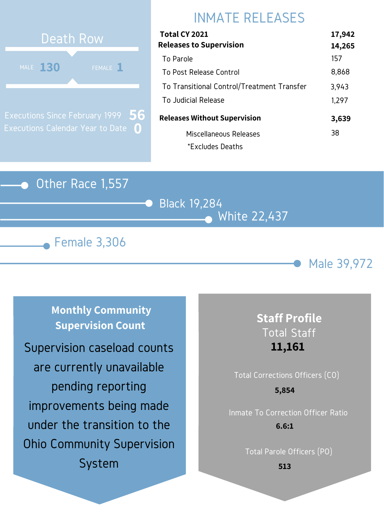### Other Race 1,557

Black 19,284 White 22,437





# INMATE RELEASES



Executions Since February 1999 Executions Calendar Year to Date **0 56**

| Total CY 2021                              | 17,942 |
|--------------------------------------------|--------|
| <b>Releases to Supervision</b>             | 14,265 |
| To Parole                                  | 157    |
| To Post Release Control                    | 8,868  |
| To Transitional Control/Treatment Transfer | 3,943  |
| To Judicial Release                        | 1,297  |
| <b>Releases Without Supervision</b>        | 3,639  |
| Miscellaneous Releases                     | 38     |
| *Excludes Deaths                           |        |

**Monthly Community Supervision Count**

> Total Corrections Officers (CO) Inmate To Correction Officer Ratio **5,854**

## **Staff Profile** Total Staff **11,161**

Total Parole Officers (PO)

**6.6:1**

**513**

Supervision caseload counts are currently unavailable pending reporting improvements being made under the transition to the Ohio Community Supervision System